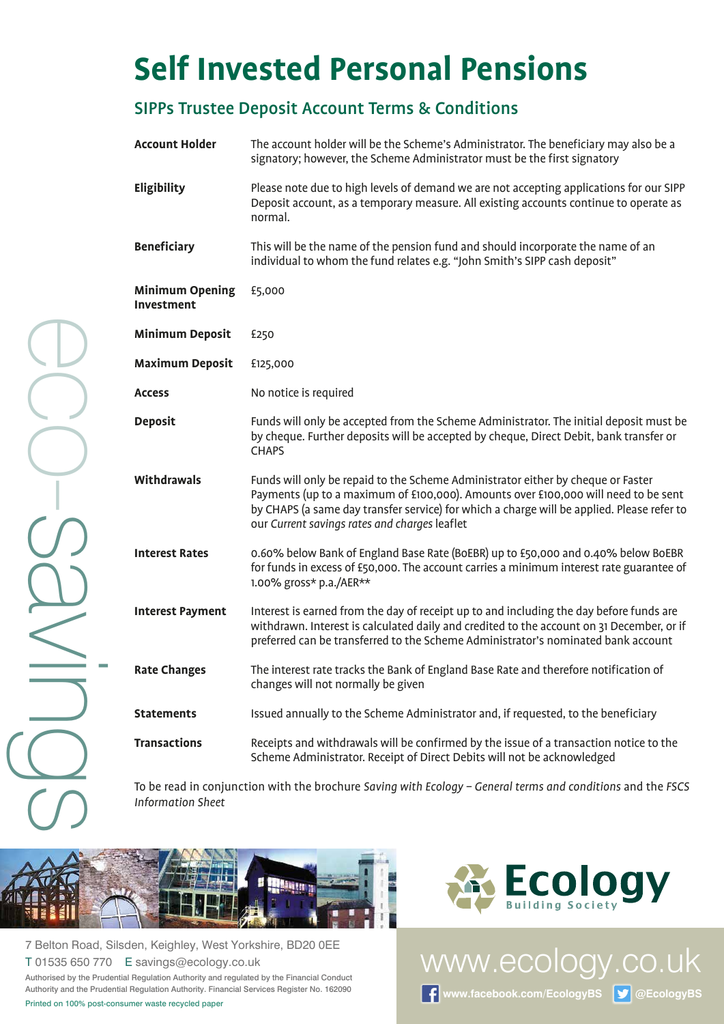# **Self Invested Personal Pensions**

#### SIPPs Trustee Deposit Account Terms & Conditions

| <b>Account Holder</b>                | The account holder will be the Scheme's Administrator. The beneficiary may also be a<br>signatory; however, the Scheme Administrator must be the first signatory                                                                                                                                                      |
|--------------------------------------|-----------------------------------------------------------------------------------------------------------------------------------------------------------------------------------------------------------------------------------------------------------------------------------------------------------------------|
| Eligibility                          | Please note due to high levels of demand we are not accepting applications for our SIPP<br>Deposit account, as a temporary measure. All existing accounts continue to operate as<br>normal.                                                                                                                           |
| <b>Beneficiary</b>                   | This will be the name of the pension fund and should incorporate the name of an<br>individual to whom the fund relates e.g. "John Smith's SIPP cash deposit"                                                                                                                                                          |
| <b>Minimum Opening</b><br>Investment | £5,000                                                                                                                                                                                                                                                                                                                |
| <b>Minimum Deposit</b>               | £250                                                                                                                                                                                                                                                                                                                  |
| <b>Maximum Deposit</b>               | £125,000                                                                                                                                                                                                                                                                                                              |
| <b>Access</b>                        | No notice is required                                                                                                                                                                                                                                                                                                 |
| <b>Deposit</b>                       | Funds will only be accepted from the Scheme Administrator. The initial deposit must be<br>by cheque. Further deposits will be accepted by cheque, Direct Debit, bank transfer or<br><b>CHAPS</b>                                                                                                                      |
| Withdrawals                          | Funds will only be repaid to the Scheme Administrator either by cheque or Faster<br>Payments (up to a maximum of £100,000). Amounts over £100,000 will need to be sent<br>by CHAPS (a same day transfer service) for which a charge will be applied. Please refer to<br>our Current savings rates and charges leaflet |
| <b>Interest Rates</b>                | 0.60% below Bank of England Base Rate (BoEBR) up to £50,000 and 0.40% below BoEBR<br>for funds in excess of £50,000. The account carries a minimum interest rate guarantee of<br>1.00% gross* p.a./AER**                                                                                                              |
| <b>Interest Payment</b>              | Interest is earned from the day of receipt up to and including the day before funds are<br>withdrawn. Interest is calculated daily and credited to the account on 31 December, or if<br>preferred can be transferred to the Scheme Administrator's nominated bank account                                             |
| <b>Rate Changes</b>                  | The interest rate tracks the Bank of England Base Rate and therefore notification of<br>changes will not normally be given                                                                                                                                                                                            |
| <b>Statements</b>                    | Issued annually to the Scheme Administrator and, if requested, to the beneficiary                                                                                                                                                                                                                                     |
| <b>Transactions</b>                  | Receipts and withdrawals will be confirmed by the issue of a transaction notice to the<br>Scheme Administrator. Receipt of Direct Debits will not be acknowledged                                                                                                                                                     |

To be read in conjunction with the brochure *Saving with Ecology – General terms and conditions* and the *FSCS Information Sheet*



eco-savicos

 $\Box$ 

7 Belton Road, Silsden, Keighley, West Yorkshire, BD20 0EE T 01535 650 770 E savings@ecology.co.uk Authorised by the Prudential Regulation Authority and regulated by the Financial Conduct Authority and the Prudential Regulation Authority. Financial Services Register No. 162090 Printed on 100% post-consumer waste recycled paper



www.ecology.co.uk

**www.facebook.com/EcologyBS @EcologyBS**